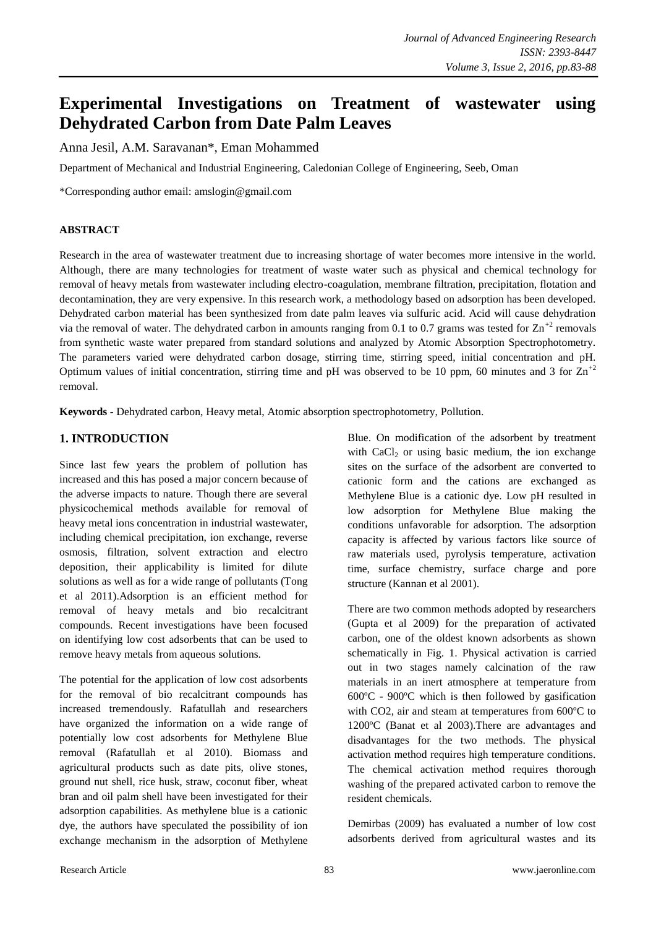# **Experimental Investigations on Treatment of wastewater using Dehydrated Carbon from Date Palm Leaves**

Anna Jesil, A.M. Saravanan\*, Eman Mohammed

Department of Mechanical and Industrial Engineering, Caledonian College of Engineering, Seeb, Oman

\*Corresponding author email: amslogin@gmail.com

## **ABSTRACT**

Research in the area of wastewater treatment due to increasing shortage of water becomes more intensive in the world. Although, there are many technologies for treatment of waste water such as physical and chemical technology for removal of heavy metals from wastewater including electro-coagulation, membrane filtration, precipitation, flotation and decontamination, they are very expensive. In this research work, a methodology based on adsorption has been developed. Dehydrated carbon material has been synthesized from date palm leaves via sulfuric acid. Acid will cause dehydration via the removal of water. The dehydrated carbon in amounts ranging from 0.1 to 0.7 grams was tested for  $\text{Zn}^{+2}$  removals from synthetic waste water prepared from standard solutions and analyzed by Atomic Absorption Spectrophotometry. The parameters varied were dehydrated carbon dosage, stirring time, stirring speed, initial concentration and pH. Optimum values of initial concentration, stirring time and pH was observed to be 10 ppm, 60 minutes and 3 for  $\text{Zn}^{+2}$ removal.

**Keywords -** Dehydrated carbon, Heavy metal, Atomic absorption spectrophotometry, Pollution.

# **1. INTRODUCTION**

Since last few years the problem of pollution has increased and this has posed a major concern because of the adverse impacts to nature. Though there are several physicochemical methods available for removal of heavy metal ions concentration in industrial wastewater, including chemical precipitation, ion exchange, reverse osmosis, filtration, solvent extraction and electro deposition, their applicability is limited for dilute solutions as well as for a wide range of pollutants (Tong et al 2011).Adsorption is an efficient method for removal of heavy metals and bio recalcitrant compounds. Recent investigations have been focused on identifying low cost adsorbents that can be used to remove heavy metals from aqueous solutions.

The potential for the application of low cost adsorbents for the removal of bio recalcitrant compounds has increased tremendously. Rafatullah and researchers have organized the information on a wide range of potentially low cost adsorbents for Methylene Blue removal (Rafatullah et al 2010). Biomass and agricultural products such as date pits, olive stones, ground nut shell, rice husk, straw, coconut fiber, wheat bran and oil palm shell have been investigated for their adsorption capabilities. As methylene blue is a cationic dye, the authors have speculated the possibility of ion exchange mechanism in the adsorption of Methylene

Blue. On modification of the adsorbent by treatment with  $CaCl<sub>2</sub>$  or using basic medium, the ion exchange sites on the surface of the adsorbent are converted to cationic form and the cations are exchanged as Methylene Blue is a cationic dye. Low pH resulted in low adsorption for Methylene Blue making the conditions unfavorable for adsorption. The adsorption capacity is affected by various factors like source of raw materials used, pyrolysis temperature, activation time, surface chemistry, surface charge and pore structure (Kannan et al 2001).

There are two common methods adopted by researchers (Gupta et al 2009) for the preparation of activated carbon, one of the oldest known adsorbents as shown schematically in Fig. 1. Physical activation is carried out in two stages namely calcination of the raw materials in an inert atmosphere at temperature from 600ºC - 900ºC which is then followed by gasification with CO2, air and steam at temperatures from 600ºC to 1200ºC (Banat et al 2003).There are advantages and disadvantages for the two methods. The physical activation method requires high temperature conditions. The chemical activation method requires thorough washing of the prepared activated carbon to remove the resident chemicals.

Demirbas (2009) has evaluated a number of low cost adsorbents derived from agricultural wastes and its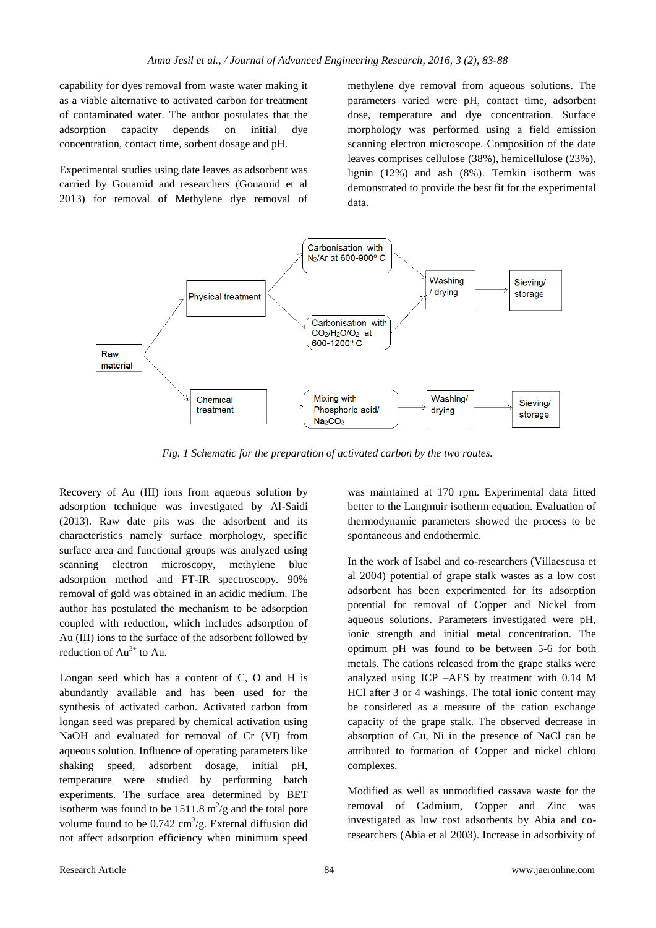capability for dyes removal from waste water making it as a viable alternative to activated carbon for treatment of contaminated water. The author postulates that the adsorption capacity depends on initial dye concentration, contact time, sorbent dosage and pH.

Experimental studies using date leaves as adsorbent was carried by Gouamid and researchers (Gouamid et al 2013) for removal of Methylene dye removal of methylene dye removal from aqueous solutions. The parameters varied were pH, contact time, adsorbent dose, temperature and dye concentration. Surface morphology was performed using a field emission scanning electron microscope. Composition of the date leaves comprises cellulose (38%), hemicellulose (23%), lignin (12%) and ash (8%). Temkin isotherm was demonstrated to provide the best fit for the experimental data.



*Fig. 1 Schematic for the preparation of activated carbon by the two routes.*

Recovery of Au (III) ions from aqueous solution by adsorption technique was investigated by Al-Saidi (2013). Raw date pits was the adsorbent and its characteristics namely surface morphology, specific surface area and functional groups was analyzed using scanning electron microscopy, methylene blue adsorption method and FT-IR spectroscopy. 90% removal of gold was obtained in an acidic medium. The author has postulated the mechanism to be adsorption coupled with reduction, which includes adsorption of Au (III) ions to the surface of the adsorbent followed by reduction of  $Au^{3+}$  to Au.

Longan seed which has a content of C, O and H is abundantly available and has been used for the synthesis of activated carbon. Activated carbon from longan seed was prepared by chemical activation using NaOH and evaluated for removal of Cr (VI) from aqueous solution. Influence of operating parameters like shaking speed, adsorbent dosage, initial pH, temperature were studied by performing batch experiments. The surface area determined by BET isotherm was found to be 1511.8  $\text{m}^2/\text{g}$  and the total pore volume found to be  $0.742 \text{ cm}^3/\text{g}$ . External diffusion did not affect adsorption efficiency when minimum speed

was maintained at 170 rpm. Experimental data fitted better to the Langmuir isotherm equation. Evaluation of thermodynamic parameters showed the process to be spontaneous and endothermic.

In the work of Isabel and co-researchers (Villaescusa et al 2004) potential of grape stalk wastes as a low cost adsorbent has been experimented for its adsorption potential for removal of Copper and Nickel from aqueous solutions. Parameters investigated were pH, ionic strength and initial metal concentration. The optimum pH was found to be between 5-6 for both metals. The cations released from the grape stalks were analyzed using ICP –AES by treatment with 0.14 M HCl after 3 or 4 washings. The total ionic content may be considered as a measure of the cation exchange capacity of the grape stalk. The observed decrease in absorption of Cu, Ni in the presence of NaCl can be attributed to formation of Copper and nickel chloro complexes.

Modified as well as unmodified cassava waste for the removal of Cadmium, Copper and Zinc was investigated as low cost adsorbents by Abia and coresearchers (Abia et al 2003). Increase in adsorbivity of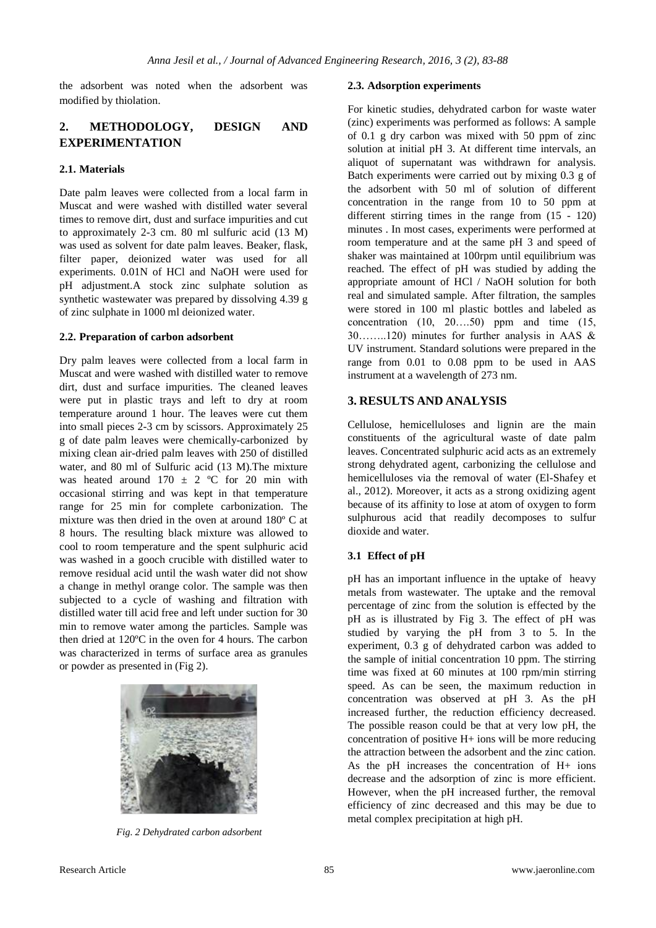the adsorbent was noted when the adsorbent was modified by thiolation.

# **2. METHODOLOGY, DESIGN AND EXPERIMENTATION**

#### **2.1. Materials**

Date palm leaves were collected from a local farm in Muscat and were washed with distilled water several times to remove dirt, dust and surface impurities and cut to approximately 2-3 cm. 80 ml sulfuric acid (13 M) was used as solvent for date palm leaves. Beaker, flask, filter paper, deionized water was used for all experiments. 0.01N of HCl and NaOH were used for pH adjustment.A stock zinc sulphate solution as synthetic wastewater was prepared by dissolving 4.39 g of zinc sulphate in 1000 ml deionized water.

#### **2.2. Preparation of carbon adsorbent**

Dry palm leaves were collected from a local farm in Muscat and were washed with distilled water to remove dirt, dust and surface impurities. The cleaned leaves were put in plastic trays and left to dry at room temperature around 1 hour. The leaves were cut them into small pieces 2-3 cm by scissors. Approximately 25 g of date palm leaves were chemically-carbonized by mixing clean air-dried palm leaves with 250 of distilled water, and 80 ml of Sulfuric acid (13 M).The mixture was heated around  $170 \pm 2$  °C for 20 min with occasional stirring and was kept in that temperature range for 25 min for complete carbonization. The mixture was then dried in the oven at around 180º C at 8 hours. The resulting black mixture was allowed to cool to room temperature and the spent sulphuric acid was washed in a gooch crucible with distilled water to remove residual acid until the wash water did not show a change in methyl orange color. The sample was then subjected to a cycle of washing and filtration with distilled water till acid free and left under suction for 30 min to remove water among the particles. Sample was then dried at 120ºC in the oven for 4 hours. The carbon was characterized in terms of surface area as granules or powder as presented in (Fig 2).



*Fig. 2 Dehydrated carbon adsorbent*

#### **2.3. Adsorption experiments**

For kinetic studies, dehydrated carbon for waste water (zinc) experiments was performed as follows: A sample of 0.1 g dry carbon was mixed with 50 ppm of zinc solution at initial pH 3. At different time intervals, an aliquot of supernatant was withdrawn for analysis. Batch experiments were carried out by mixing 0.3 g of the adsorbent with 50 ml of solution of different concentration in the range from 10 to 50 ppm at different stirring times in the range from (15 - 120) minutes . In most cases, experiments were performed at room temperature and at the same pH 3 and speed of shaker was maintained at 100rpm until equilibrium was reached. The effect of pH was studied by adding the appropriate amount of HCl / NaOH solution for both real and simulated sample. After filtration, the samples were stored in 100 ml plastic bottles and labeled as concentration (10, 20….50) ppm and time (15, 30……..120) minutes for further analysis in AAS & UV instrument. Standard solutions were prepared in the range from 0.01 to 0.08 ppm to be used in AAS instrument at a wavelength of 273 nm.

## **3. RESULTS AND ANALYSIS**

Cellulose, hemicelluloses and lignin are the main constituents of the agricultural waste of date palm leaves. Concentrated sulphuric acid acts as an extremely strong dehydrated agent, carbonizing the cellulose and hemicelluloses via the removal of water (El-Shafey et al., 2012). Moreover, it acts as a strong oxidizing agent because of its affinity to lose at atom of oxygen to form sulphurous acid that readily decomposes to sulfur dioxide and water.

#### **3.1 Effect of pH**

pH has an important influence in the uptake of heavy metals from wastewater. The uptake and the removal percentage of zinc from the solution is effected by the pH as is illustrated by Fig 3. The effect of pH was studied by varying the pH from 3 to 5. In the experiment, 0.3 g of dehydrated carbon was added to the sample of initial concentration 10 ppm. The stirring time was fixed at 60 minutes at 100 rpm/min stirring speed. As can be seen, the maximum reduction in concentration was observed at pH 3. As the pH increased further, the reduction efficiency decreased. The possible reason could be that at very low pH, the concentration of positive H+ ions will be more reducing the attraction between the adsorbent and the zinc cation. As the pH increases the concentration of H+ ions decrease and the adsorption of zinc is more efficient. However, when the pH increased further, the removal efficiency of zinc decreased and this may be due to metal complex precipitation at high pH.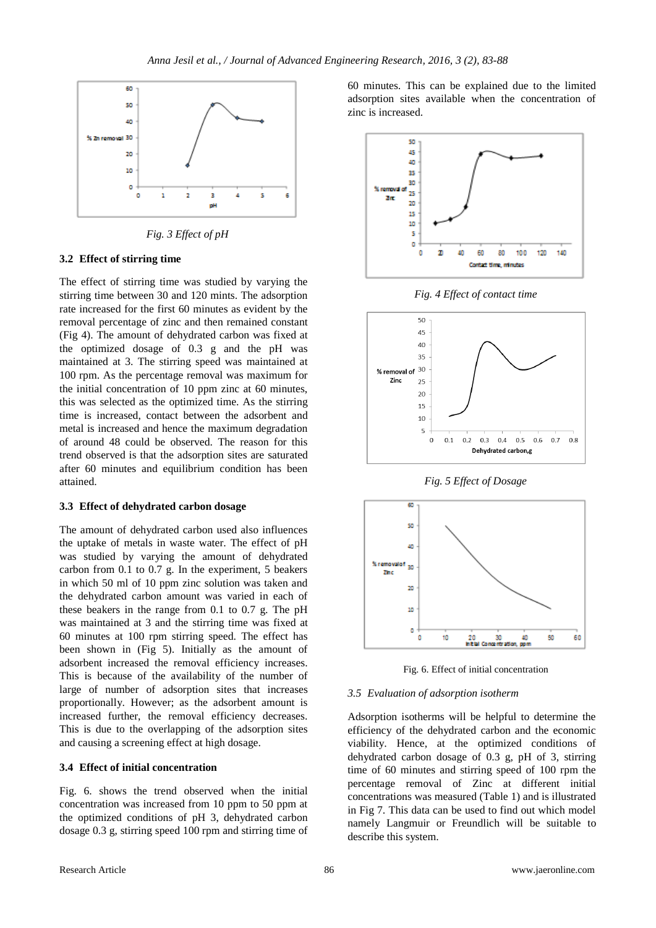

*Fig. 3 Effect of pH*

#### **3.2 Effect of stirring time**

The effect of stirring time was studied by varying the stirring time between 30 and 120 mints. The adsorption rate increased for the first 60 minutes as evident by the removal percentage of zinc and then remained constant (Fig 4). The amount of dehydrated carbon was fixed at the optimized dosage of 0.3 g and the pH was maintained at 3. The stirring speed was maintained at 100 rpm. As the percentage removal was maximum for the initial concentration of 10 ppm zinc at 60 minutes, this was selected as the optimized time. As the stirring time is increased, contact between the adsorbent and metal is increased and hence the maximum degradation of around 48 could be observed. The reason for this trend observed is that the adsorption sites are saturated after 60 minutes and equilibrium condition has been attained.

#### **3.3 Effect of dehydrated carbon dosage**

The amount of dehydrated carbon used also influences the uptake of metals in waste water. The effect of pH was studied by varying the amount of dehydrated carbon from 0.1 to 0.7 g. In the experiment, 5 beakers in which 50 ml of 10 ppm zinc solution was taken and the dehydrated carbon amount was varied in each of these beakers in the range from 0.1 to 0.7 g. The pH was maintained at 3 and the stirring time was fixed at 60 minutes at 100 rpm stirring speed. The effect has been shown in (Fig 5). Initially as the amount of adsorbent increased the removal efficiency increases. This is because of the availability of the number of large of number of adsorption sites that increases proportionally. However; as the adsorbent amount is increased further, the removal efficiency decreases. This is due to the overlapping of the adsorption sites and causing a screening effect at high dosage.

#### **3.4 Effect of initial concentration**

Fig. 6. shows the trend observed when the initial concentration was increased from 10 ppm to 50 ppm at the optimized conditions of pH 3, dehydrated carbon dosage 0.3 g, stirring speed 100 rpm and stirring time of 60 minutes. This can be explained due to the limited adsorption sites available when the concentration of zinc is increased.



*Fig. 4 Effect of contact time*



*Fig. 5 Effect of Dosage*



Fig. 6. Effect of initial concentration

## *3.5 Evaluation of adsorption isotherm*

Adsorption isotherms will be helpful to determine the efficiency of the dehydrated carbon and the economic viability. Hence, at the optimized conditions of dehydrated carbon dosage of 0.3 g, pH of 3, stirring time of 60 minutes and stirring speed of 100 rpm the percentage removal of Zinc at different initial concentrations was measured (Table 1) and is illustrated in Fig 7. This data can be used to find out which model namely Langmuir or Freundlich will be suitable to describe this system.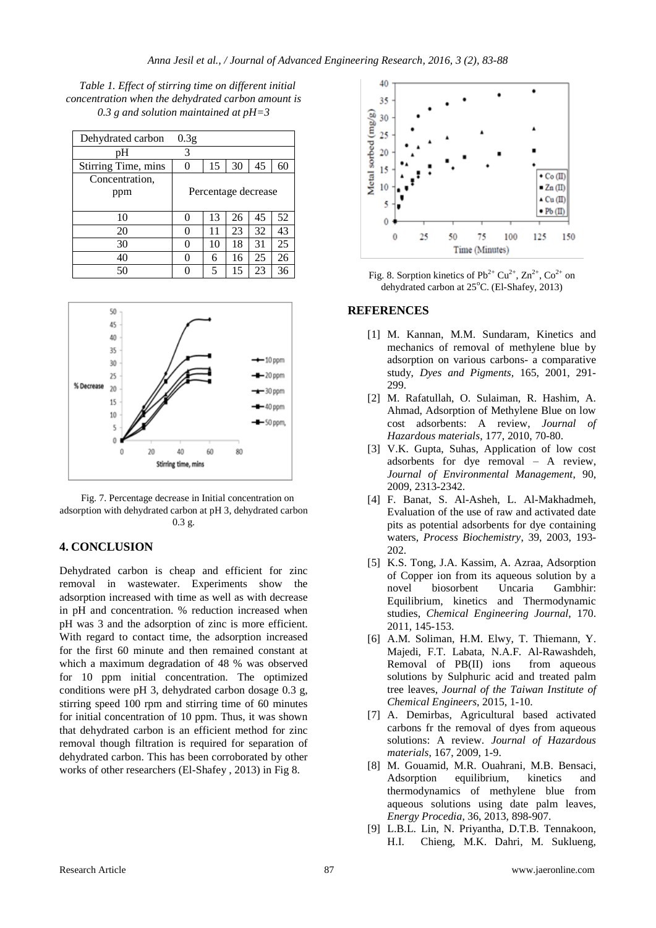*Table 1. Effect of stirring time on different initial concentration when the dehydrated carbon amount is 0.3 g and solution maintained at pH=3*

| Dehydrated carbon   | 0.3 <sub>g</sub>    |    |    |    |    |
|---------------------|---------------------|----|----|----|----|
| pH                  | 3                   |    |    |    |    |
| Stirring Time, mins | 0                   | 15 | 30 | 45 | 60 |
| Concentration,      |                     |    |    |    |    |
| ppm                 | Percentage decrease |    |    |    |    |
|                     |                     |    |    |    |    |
| 10                  | 0                   | 13 | 26 | 45 | 52 |
| 20                  | 0                   | 11 | 23 | 32 | 43 |
| 30                  | 0                   | 10 | 18 | 31 | 25 |
| 40                  | 0                   | 6  | 16 | 25 | 26 |
| 50                  |                     | 5  | 15 | 23 | 36 |



Fig. 7. Percentage decrease in Initial concentration on adsorption with dehydrated carbon at pH 3, dehydrated carbon 0.3 g.

## **4. CONCLUSION**

Dehydrated carbon is cheap and efficient for zinc removal in wastewater. Experiments show the adsorption increased with time as well as with decrease in pH and concentration. % reduction increased when pH was 3 and the adsorption of zinc is more efficient. With regard to contact time, the adsorption increased for the first 60 minute and then remained constant at which a maximum degradation of 48 % was observed for 10 ppm initial concentration. The optimized conditions were pH 3, dehydrated carbon dosage 0.3 g, stirring speed 100 rpm and stirring time of 60 minutes for initial concentration of 10 ppm. Thus, it was shown that dehydrated carbon is an efficient method for zinc removal though filtration is required for separation of dehydrated carbon. This has been corroborated by other works of other researchers (El-Shafey , 2013) in Fig 8.



Fig. 8. Sorption kinetics of  $Pb^{2+} Cu^{2+}$ ,  $Zn^{2+}$ ,  $Co^{2+}$  on dehydrated carbon at 25°C. (El-Shafey, 2013)

#### **REFERENCES**

- [1] M. Kannan, M.M. Sundaram, Kinetics and mechanics of removal of methylene blue by adsorption on various carbons- a comparative study, *Dyes and Pigments,* 165, 2001, 291- 299.
- [2] M. Rafatullah, O. Sulaiman, R. Hashim, A. Ahmad, Adsorption of Methylene Blue on low cost adsorbents: A review, *Journal of Hazardous materials*, 177, 2010, 70-80.
- [3] V.K. Gupta, Suhas, Application of low cost adsorbents for dye removal – A review, *Journal of Environmental Management*, 90, 2009, 2313-2342.
- [4] F. Banat, S. Al-Asheh, L. Al-Makhadmeh, Evaluation of the use of raw and activated date pits as potential adsorbents for dye containing waters, *Process Biochemistry*, 39, 2003, 193- 202.
- [5] K.S. Tong, J.A. Kassim, A. Azraa, Adsorption of Copper ion from its aqueous solution by a novel biosorbent Uncaria Gambhir: Equilibrium, kinetics and Thermodynamic studies, *Chemical Engineering Journal*, 170. 2011, 145-153.
- [6] A.M. Soliman, H.M. Elwy, T. Thiemann, Y. Majedi, F.T. Labata, N.A.F. Al-Rawashdeh, Removal of PB(II) ions from aqueous solutions by Sulphuric acid and treated palm tree leaves, *Journal of the Taiwan Institute of Chemical Engineers*, 2015, 1-10.
- [7] A. Demirbas, Agricultural based activated carbons fr the removal of dyes from aqueous solutions: A review. *Journal of Hazardous materials*, 167, 2009, 1-9.
- [8] M. Gouamid, M.R. Ouahrani, M.B. Bensaci, Adsorption equilibrium, kinetics and thermodynamics of methylene blue from aqueous solutions using date palm leaves, *Energy Procedia*, 36, 2013, 898-907.
- [9] L.B.L. Lin, N. Priyantha, D.T.B. Tennakoon, H.I. Chieng, M.K. Dahri, M. Suklueng,